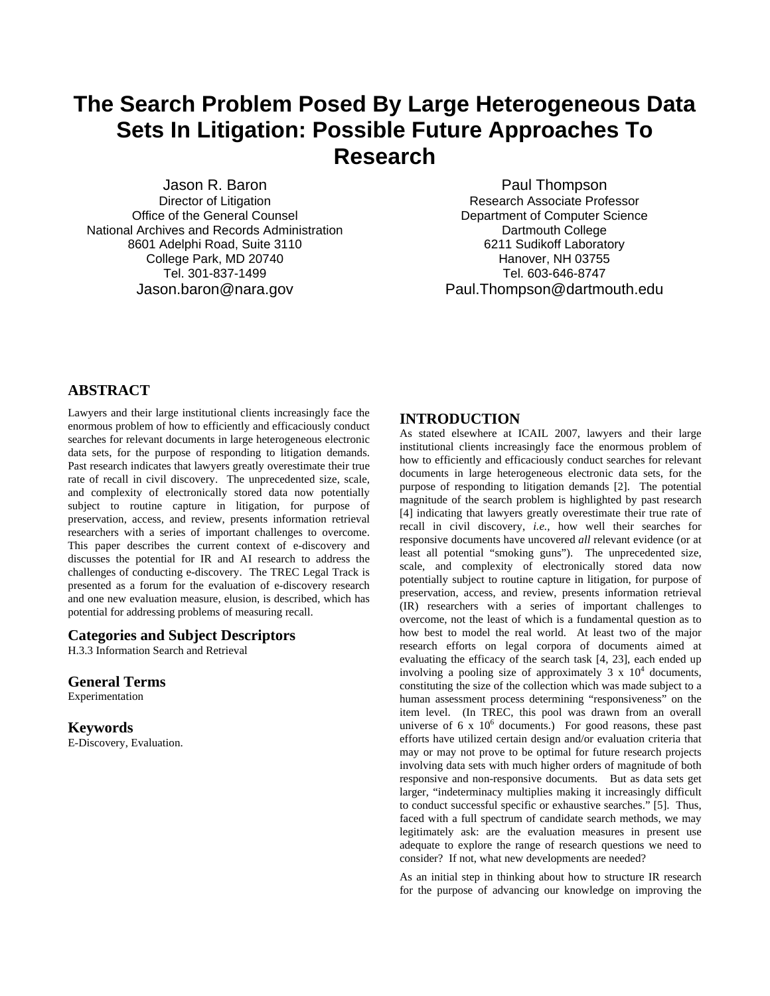# **The Search Problem Posed By Large Heterogeneous Data Sets In Litigation: Possible Future Approaches To Research**

Jason R. Baron

Director of Litigation Office of the General Counsel National Archives and Records Administration 8601 Adelphi Road, Suite 3110 College Park, MD 20740 Tel. 301-837-1499 Jason.baron@nara.gov

Paul Thompson Research Associate Professor Department of Computer Science Dartmouth College 6211 Sudikoff Laboratory Hanover, NH 03755 Tel. 603-646-8747 Paul.Thompson@dartmouth.edu

# **ABSTRACT**

Lawyers and their large institutional clients increasingly face the enormous problem of how to efficiently and efficaciously conduct searches for relevant documents in large heterogeneous electronic data sets, for the purpose of responding to litigation demands. Past research indicates that lawyers greatly overestimate their true rate of recall in civil discovery. The unprecedented size, scale, and complexity of electronically stored data now potentially subject to routine capture in litigation, for purpose of preservation, access, and review, presents information retrieval researchers with a series of important challenges to overcome. This paper describes the current context of e-discovery and discusses the potential for IR and AI research to address the challenges of conducting e-discovery. The TREC Legal Track is presented as a forum for the evaluation of e-discovery research and one new evaluation measure, elusion, is described, which has potential for addressing problems of measuring recall.

## **Categories and Subject Descriptors**

H.3.3 Information Search and Retrieval

#### **General Terms**

Experimentation

#### **Keywords**

E-Discovery, Evaluation.

## **INTRODUCTION**

As stated elsewhere at ICAIL 2007, lawyers and their large institutional clients increasingly face the enormous problem of how to efficiently and efficaciously conduct searches for relevant documents in large heterogeneous electronic data sets, for the purpose of responding to litigation demands [2]. The potential magnitude of the search problem is highlighted by past research [4] indicating that lawyers greatly overestimate their true rate of recall in civil discovery, *i.e.,* how well their searches for responsive documents have uncovered *all* relevant evidence (or at least all potential "smoking guns"). The unprecedented size, scale, and complexity of electronically stored data now potentially subject to routine capture in litigation, for purpose of preservation, access, and review, presents information retrieval (IR) researchers with a series of important challenges to overcome, not the least of which is a fundamental question as to how best to model the real world. At least two of the major research efforts on legal corpora of documents aimed at evaluating the efficacy of the search task [4, 23], each ended up involving a pooling size of approximately  $3 \times 10^4$  documents, constituting the size of the collection which was made subject to a human assessment process determining "responsiveness" on the item level. (In TREC, this pool was drawn from an overall universe of  $6 \times 10^6$  documents.) For good reasons, these past efforts have utilized certain design and/or evaluation criteria that may or may not prove to be optimal for future research projects involving data sets with much higher orders of magnitude of both responsive and non-responsive documents. But as data sets get larger, "indeterminacy multiplies making it increasingly difficult to conduct successful specific or exhaustive searches." [5]. Thus, faced with a full spectrum of candidate search methods, we may legitimately ask: are the evaluation measures in present use adequate to explore the range of research questions we need to consider? If not, what new developments are needed?

As an initial step in thinking about how to structure IR research for the purpose of advancing our knowledge on improving the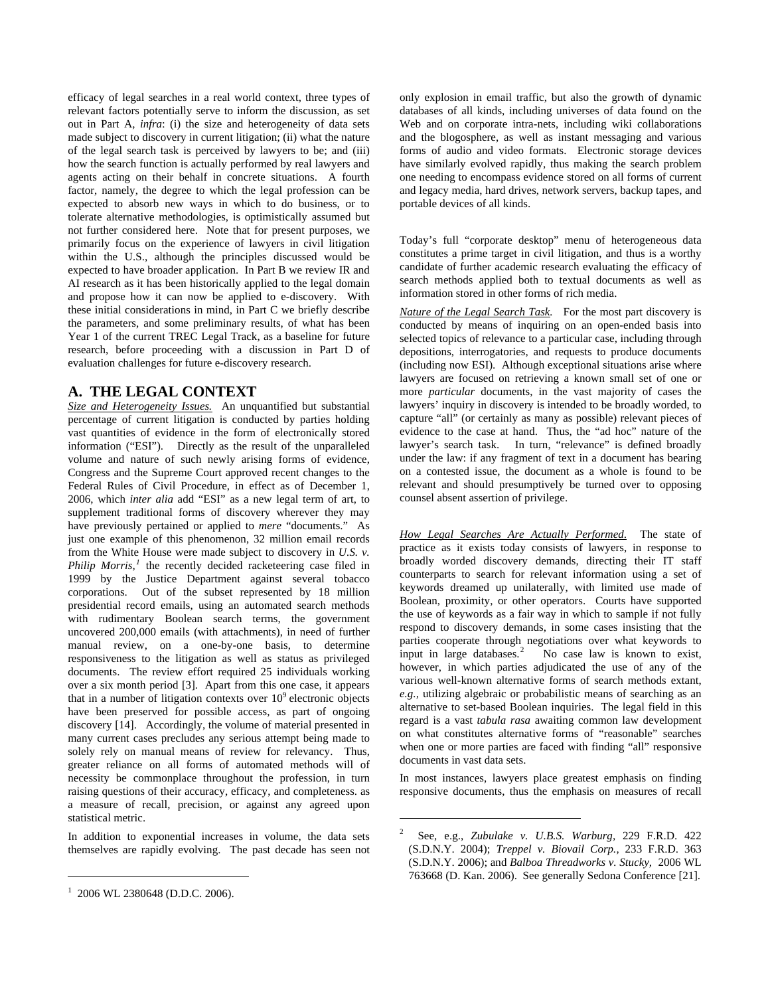efficacy of legal searches in a real world context, three types of relevant factors potentially serve to inform the discussion, as set out in Part A, *infra*: (i) the size and heterogeneity of data sets made subject to discovery in current litigation; (ii) what the nature of the legal search task is perceived by lawyers to be; and (iii) how the search function is actually performed by real lawyers and agents acting on their behalf in concrete situations. A fourth factor, namely, the degree to which the legal profession can be expected to absorb new ways in which to do business, or to tolerate alternative methodologies, is optimistically assumed but not further considered here. Note that for present purposes, we primarily focus on the experience of lawyers in civil litigation within the U.S., although the principles discussed would be expected to have broader application. In Part B we review IR and AI research as it has been historically applied to the legal domain and propose how it can now be applied to e-discovery. With these initial considerations in mind, in Part C we briefly describe the parameters, and some preliminary results, of what has been Year 1 of the current TREC Legal Track, as a baseline for future research, before proceeding with a discussion in Part D of evaluation challenges for future e-discovery research.

## **A. THE LEGAL CONTEXT**

*Size and Heterogeneity Issues.* An unquantified but substantial percentage of current litigation is conducted by parties holding vast quantities of evidence in the form of electronically stored information ("ESI"). Directly as the result of the unparalleled volume and nature of such newly arising forms of evidence, Congress and the Supreme Court approved recent changes to the Federal Rules of Civil Procedure, in effect as of December 1, 2006, which *inter alia* add "ESI" as a new legal term of art, to supplement traditional forms of discovery wherever they may have previously pertained or applied to *mere* "documents." As just one example of this phenomenon, 32 million email records from the White House were made subject to discovery in *U.S. v. Philip Morris*,<sup>*[1](#page-1-0)*</sup> the recently decided racketeering case filed in 1999 by the Justice Department against several tobacco corporations. Out of the subset represented by 18 million presidential record emails, using an automated search methods with rudimentary Boolean search terms, the government uncovered 200,000 emails (with attachments), in need of further manual review, on a one-by-one basis, to determine responsiveness to the litigation as well as status as privileged documents. The review effort required 25 individuals working over a six month period [3]. Apart from this one case, it appears that in a number of litigation contexts over  $10^9$  electronic objects have been preserved for possible access, as part of ongoing discovery [14]. Accordingly, the volume of material presented in many current cases precludes any serious attempt being made to solely rely on manual means of review for relevancy. Thus, greater reliance on all forms of automated methods will of necessity be commonplace throughout the profession, in turn raising questions of their accuracy, efficacy, and completeness. as a measure of recall, precision, or against any agreed upon statistical metric.

<span id="page-1-1"></span>In addition to exponential increases in volume, the data sets themselves are rapidly evolving. The past decade has seen not

 $\overline{a}$ 

only explosion in email traffic, but also the growth of dynamic databases of all kinds, including universes of data found on the Web and on corporate intra-nets, including wiki collaborations and the blogosphere, as well as instant messaging and various forms of audio and video formats. Electronic storage devices have similarly evolved rapidly, thus making the search problem one needing to encompass evidence stored on all forms of current and legacy media, hard drives, network servers, backup tapes, and portable devices of all kinds.

Today's full "corporate desktop" menu of heterogeneous data constitutes a prime target in civil litigation, and thus is a worthy candidate of further academic research evaluating the efficacy of search methods applied both to textual documents as well as information stored in other forms of rich media.

*Nature of the Legal Search Task.* For the most part discovery is conducted by means of inquiring on an open-ended basis into selected topics of relevance to a particular case, including through depositions, interrogatories, and requests to produce documents (including now ESI). Although exceptional situations arise where lawyers are focused on retrieving a known small set of one or more *particular* documents, in the vast majority of cases the lawyers' inquiry in discovery is intended to be broadly worded, to capture "all" (or certainly as many as possible) relevant pieces of evidence to the case at hand. Thus, the "ad hoc" nature of the lawyer's search task. In turn, "relevance" is defined broadly under the law: if any fragment of text in a document has bearing on a contested issue, the document as a whole is found to be relevant and should presumptively be turned over to opposing counsel absent assertion of privilege.

*How Legal Searches Are Actually Performed*.The state of practice as it exists today consists of lawyers, in response to broadly worded discovery demands, directing their IT staff counterparts to search for relevant information using a set of keywords dreamed up unilaterally, with limited use made of Boolean, proximity, or other operators. Courts have supported the use of keywords as a fair way in which to sample if not fully respond to discovery demands, in some cases insisting that the parties cooperate through negotiations over what keywords to input in large databases. $<sup>2</sup>$  $<sup>2</sup>$  $<sup>2</sup>$ </sup> No case law is known to exist, however, in which parties adjudicated the use of any of the various well-known alternative forms of search methods extant, *e.g.,* utilizing algebraic or probabilistic means of searching as an alternative to set-based Boolean inquiries. The legal field in this regard is a vast *tabula rasa* awaiting common law development on what constitutes alternative forms of "reasonable" searches when one or more parties are faced with finding "all" responsive documents in vast data sets.

In most instances, lawyers place greatest emphasis on finding responsive documents, thus the emphasis on measures of recall

 $\overline{a}$ 

<span id="page-1-0"></span><sup>1</sup> 2006 WL 2380648 (D.D.C. 2006).

<sup>2</sup> See, e.g., *Zubulake v. U.B.S. Warburg,* 229 F.R.D. 422 (S.D.N.Y. 2004); *Treppel v. Biovail Corp.,* 233 F.R.D. 363 (S.D.N.Y. 2006); and *Balboa Threadworks v. Stucky,* 2006 WL 763668 (D. Kan. 2006). See generally Sedona Conference [21].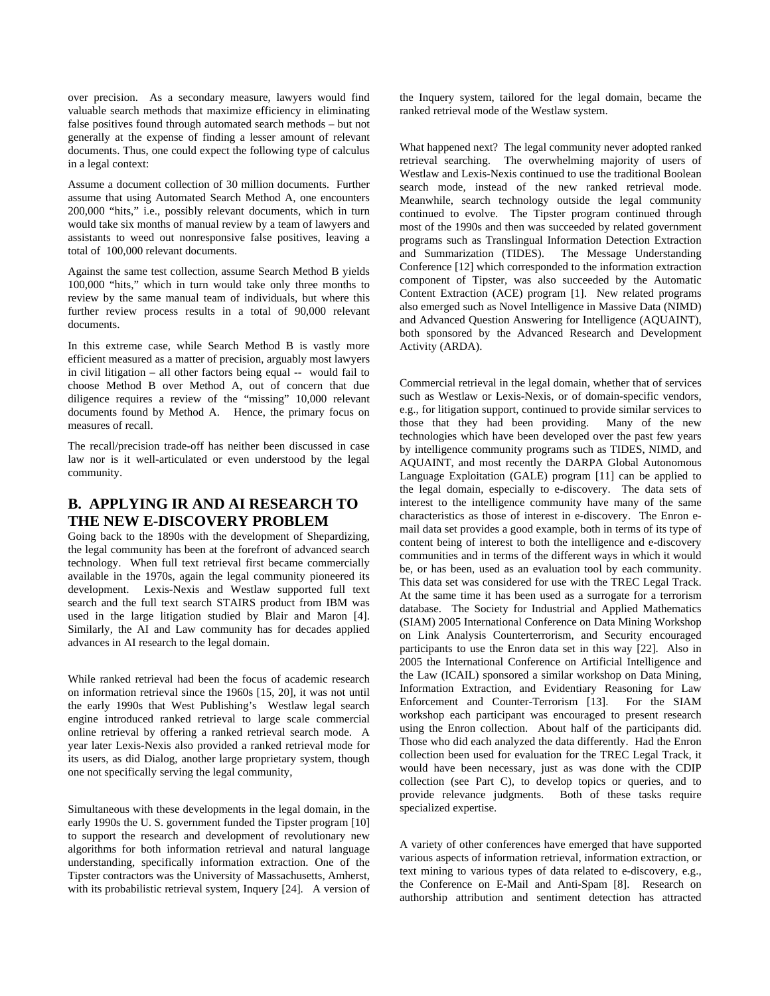over precision. As a secondary measure, lawyers would find valuable search methods that maximize efficiency in eliminating false positives found through automated search methods – but not generally at the expense of finding a lesser amount of relevant documents. Thus, one could expect the following type of calculus in a legal context:

Assume a document collection of 30 million documents. Further assume that using Automated Search Method A, one encounters 200,000 "hits," i.e., possibly relevant documents, which in turn would take six months of manual review by a team of lawyers and assistants to weed out nonresponsive false positives, leaving a total of 100,000 relevant documents.

Against the same test collection, assume Search Method B yields 100,000 "hits," which in turn would take only three months to review by the same manual team of individuals, but where this further review process results in a total of 90,000 relevant documents.

In this extreme case, while Search Method B is vastly more efficient measured as a matter of precision, arguably most lawyers in civil litigation – all other factors being equal -- would fail to choose Method B over Method A, out of concern that due diligence requires a review of the "missing" 10,000 relevant documents found by Method A. Hence, the primary focus on measures of recall.

The recall/precision trade-off has neither been discussed in case law nor is it well-articulated or even understood by the legal community.

# **B. APPLYING IR AND AI RESEARCH TO THE NEW E-DISCOVERY PROBLEM**

Going back to the 1890s with the development of Shepardizing, the legal community has been at the forefront of advanced search technology. When full text retrieval first became commercially available in the 1970s, again the legal community pioneered its development. Lexis-Nexis and Westlaw supported full text search and the full text search STAIRS product from IBM was used in the large litigation studied by Blair and Maron [4]. Similarly, the AI and Law community has for decades applied advances in AI research to the legal domain.

While ranked retrieval had been the focus of academic research on information retrieval since the 1960s [15, 20], it was not until the early 1990s that West Publishing's Westlaw legal search engine introduced ranked retrieval to large scale commercial online retrieval by offering a ranked retrieval search mode. A year later Lexis-Nexis also provided a ranked retrieval mode for its users, as did Dialog, another large proprietary system, though one not specifically serving the legal community,

Simultaneous with these developments in the legal domain, in the early 1990s the U. S. government funded the Tipster program [10] to support the research and development of revolutionary new algorithms for both information retrieval and natural language understanding, specifically information extraction. One of the Tipster contractors was the University of Massachusetts, Amherst, with its probabilistic retrieval system, Inquery [24]. A version of the Inquery system, tailored for the legal domain, became the ranked retrieval mode of the Westlaw system.

What happened next? The legal community never adopted ranked retrieval searching. The overwhelming majority of users of Westlaw and Lexis-Nexis continued to use the traditional Boolean search mode, instead of the new ranked retrieval mode. Meanwhile, search technology outside the legal community continued to evolve. The Tipster program continued through most of the 1990s and then was succeeded by related government programs such as Translingual Information Detection Extraction and Summarization (TIDES). The Message Understanding Conference [12] which corresponded to the information extraction component of Tipster, was also succeeded by the Automatic Content Extraction (ACE) program [1]. New related programs also emerged such as Novel Intelligence in Massive Data (NIMD) and Advanced Question Answering for Intelligence (AQUAINT), both sponsored by the Advanced Research and Development Activity (ARDA).

Commercial retrieval in the legal domain, whether that of services such as Westlaw or Lexis-Nexis, or of domain-specific vendors, e.g., for litigation support, continued to provide similar services to those that they had been providing. Many of the new technologies which have been developed over the past few years by intelligence community programs such as TIDES, NIMD, and AQUAINT, and most recently the DARPA Global Autonomous Language Exploitation (GALE) program [11] can be applied to the legal domain, especially to e-discovery. The data sets of interest to the intelligence community have many of the same characteristics as those of interest in e-discovery. The Enron email data set provides a good example, both in terms of its type of content being of interest to both the intelligence and e-discovery communities and in terms of the different ways in which it would be, or has been, used as an evaluation tool by each community. This data set was considered for use with the TREC Legal Track. At the same time it has been used as a surrogate for a terrorism database. The Society for Industrial and Applied Mathematics (SIAM) 2005 International Conference on Data Mining Workshop on Link Analysis Counterterrorism, and Security encouraged participants to use the Enron data set in this way [22]. Also in 2005 the International Conference on Artificial Intelligence and the Law (ICAIL) sponsored a similar workshop on Data Mining, Information Extraction, and Evidentiary Reasoning for Law Enforcement and Counter-Terrorism [13]. For the SIAM workshop each participant was encouraged to present research using the Enron collection. About half of the participants did. Those who did each analyzed the data differently. Had the Enron collection been used for evaluation for the TREC Legal Track, it would have been necessary, just as was done with the CDIP collection (see Part C), to develop topics or queries, and to provide relevance judgments. Both of these tasks require specialized expertise.

A variety of other conferences have emerged that have supported various aspects of information retrieval, information extraction, or text mining to various types of data related to e-discovery, e.g., the Conference on E-Mail and Anti-Spam [8]. Research on authorship attribution and sentiment detection has attracted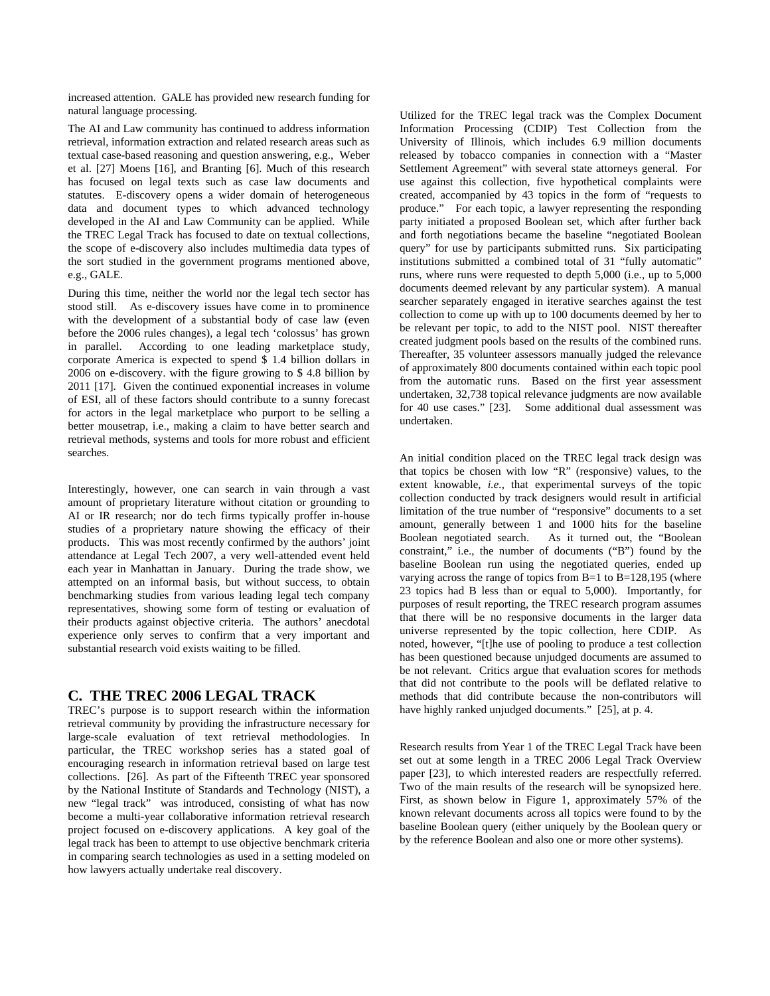increased attention. GALE has provided new research funding for natural language processing.

The AI and Law community has continued to address information retrieval, information extraction and related research areas such as textual case-based reasoning and question answering, e.g., Weber et al. [27] Moens [16], and Branting [6]. Much of this research has focused on legal texts such as case law documents and statutes. E-discovery opens a wider domain of heterogeneous data and document types to which advanced technology developed in the AI and Law Community can be applied. While the TREC Legal Track has focused to date on textual collections, the scope of e-discovery also includes multimedia data types of the sort studied in the government programs mentioned above, e.g., GALE.

During this time, neither the world nor the legal tech sector has stood still. As e-discovery issues have come in to prominence with the development of a substantial body of case law (even before the 2006 rules changes), a legal tech 'colossus' has grown in parallel. According to one leading marketplace study, corporate America is expected to spend \$ 1.4 billion dollars in 2006 on e-discovery. with the figure growing to \$ 4.8 billion by 2011 [17]. Given the continued exponential increases in volume of ESI, all of these factors should contribute to a sunny forecast for actors in the legal marketplace who purport to be selling a better mousetrap, i.e., making a claim to have better search and retrieval methods, systems and tools for more robust and efficient searches.

Interestingly, however, one can search in vain through a vast amount of proprietary literature without citation or grounding to AI or IR research; nor do tech firms typically proffer in-house studies of a proprietary nature showing the efficacy of their products. This was most recently confirmed by the authors' joint attendance at Legal Tech 2007, a very well-attended event held each year in Manhattan in January. During the trade show, we attempted on an informal basis, but without success, to obtain benchmarking studies from various leading legal tech company representatives, showing some form of testing or evaluation of their products against objective criteria. The authors' anecdotal experience only serves to confirm that a very important and substantial research void exists waiting to be filled.

## **C. THE TREC 2006 LEGAL TRACK**

TREC's purpose is to support research within the information retrieval community by providing the infrastructure necessary for large-scale evaluation of text retrieval methodologies. In particular, the TREC workshop series has a stated goal of encouraging research in information retrieval based on large test collections. [26]. As part of the Fifteenth TREC year sponsored by the National Institute of Standards and Technology (NIST), a new "legal track" was introduced, consisting of what has now become a multi-year collaborative information retrieval research project focused on e-discovery applications. A key goal of the legal track has been to attempt to use objective benchmark criteria in comparing search technologies as used in a setting modeled on how lawyers actually undertake real discovery.

Utilized for the TREC legal track was the Complex Document Information Processing (CDIP) Test Collection from the University of Illinois, which includes 6.9 million documents released by tobacco companies in connection with a "Master Settlement Agreement" with several state attorneys general. For use against this collection, five hypothetical complaints were created, accompanied by 43 topics in the form of "requests to produce." For each topic, a lawyer representing the responding party initiated a proposed Boolean set, which after further back and forth negotiations became the baseline "negotiated Boolean query" for use by participants submitted runs. Six participating institutions submitted a combined total of 31 "fully automatic" runs, where runs were requested to depth 5,000 (i.e., up to 5,000 documents deemed relevant by any particular system). A manual searcher separately engaged in iterative searches against the test collection to come up with up to 100 documents deemed by her to be relevant per topic, to add to the NIST pool. NIST thereafter created judgment pools based on the results of the combined runs. Thereafter, 35 volunteer assessors manually judged the relevance of approximately 800 documents contained within each topic pool from the automatic runs. Based on the first year assessment undertaken, 32,738 topical relevance judgments are now available for 40 use cases." [23]. Some additional dual assessment was undertaken.

An initial condition placed on the TREC legal track design was that topics be chosen with low "R" (responsive) values, to the extent knowable, *i.e.,* that experimental surveys of the topic collection conducted by track designers would result in artificial limitation of the true number of "responsive" documents to a set amount, generally between 1 and 1000 hits for the baseline Boolean negotiated search. As it turned out, the "Boolean constraint," i.e., the number of documents ("B") found by the baseline Boolean run using the negotiated queries, ended up varying across the range of topics from B=1 to B=128,195 (where 23 topics had B less than or equal to 5,000). Importantly, for purposes of result reporting, the TREC research program assumes that there will be no responsive documents in the larger data universe represented by the topic collection, here CDIP. As noted, however, "[t]he use of pooling to produce a test collection has been questioned because unjudged documents are assumed to be not relevant. Critics argue that evaluation scores for methods that did not contribute to the pools will be deflated relative to methods that did contribute because the non-contributors will have highly ranked unjudged documents." [25], at p. 4.

Research results from Year 1 of the TREC Legal Track have been set out at some length in a TREC 2006 Legal Track Overview paper [23], to which interested readers are respectfully referred. Two of the main results of the research will be synopsized here. First, as shown below in Figure 1, approximately 57% of the known relevant documents across all topics were found to by the baseline Boolean query (either uniquely by the Boolean query or by the reference Boolean and also one or more other systems).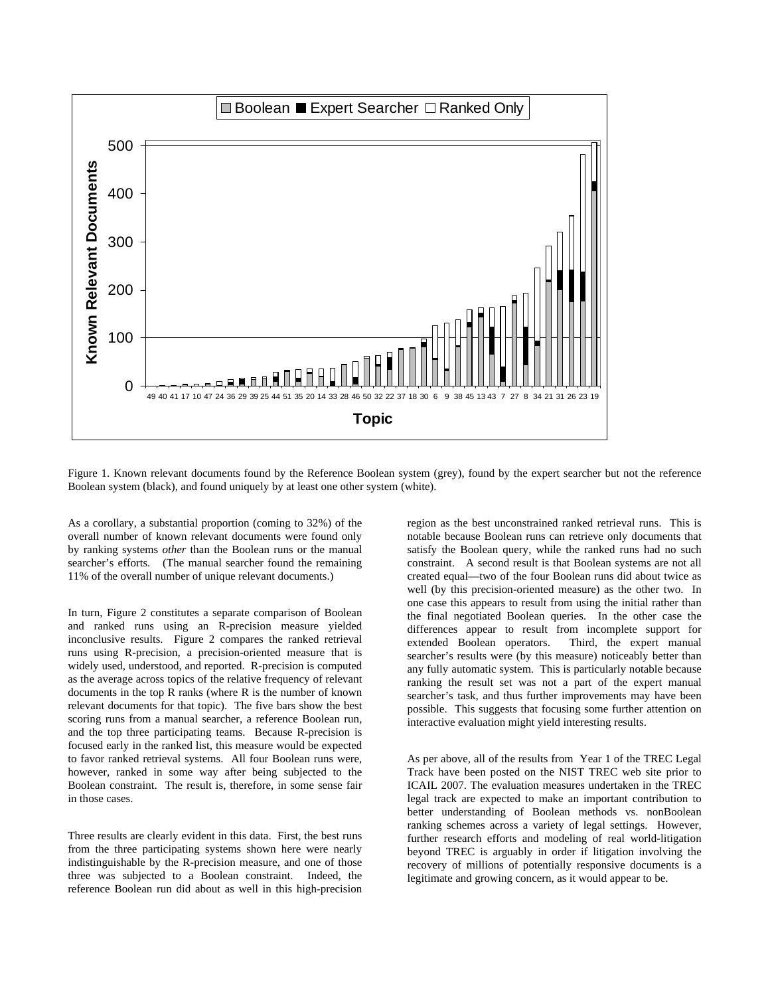

Figure 1. Known relevant documents found by the Reference Boolean system (grey), found by the expert searcher but not the reference Boolean system (black), and found uniquely by at least one other system (white).

As a corollary, a substantial proportion (coming to 32%) of the overall number of known relevant documents were found only by ranking systems *other* than the Boolean runs or the manual searcher's efforts. (The manual searcher found the remaining 11% of the overall number of unique relevant documents.)

In turn, Figure 2 constitutes a separate comparison of Boolean and ranked runs using an R-precision measure yielded inconclusive results. Figure 2 compares the ranked retrieval runs using R-precision, a precision-oriented measure that is widely used, understood, and reported. R-precision is computed as the average across topics of the relative frequency of relevant documents in the top R ranks (where R is the number of known relevant documents for that topic). The five bars show the best scoring runs from a manual searcher, a reference Boolean run, and the top three participating teams. Because R-precision is focused early in the ranked list, this measure would be expected to favor ranked retrieval systems. All four Boolean runs were, however, ranked in some way after being subjected to the Boolean constraint. The result is, therefore, in some sense fair in those cases.

Three results are clearly evident in this data. First, the best runs from the three participating systems shown here were nearly indistinguishable by the R-precision measure, and one of those three was subjected to a Boolean constraint. Indeed, the reference Boolean run did about as well in this high-precision

region as the best unconstrained ranked retrieval runs. This is notable because Boolean runs can retrieve only documents that satisfy the Boolean query, while the ranked runs had no such constraint. A second result is that Boolean systems are not all created equal—two of the four Boolean runs did about twice as well (by this precision-oriented measure) as the other two. In one case this appears to result from using the initial rather than the final negotiated Boolean queries. In the other case the differences appear to result from incomplete support for extended Boolean operators. Third, the expert manual searcher's results were (by this measure) noticeably better than any fully automatic system. This is particularly notable because ranking the result set was not a part of the expert manual searcher's task, and thus further improvements may have been possible. This suggests that focusing some further attention on interactive evaluation might yield interesting results.

As per above, all of the results from Year 1 of the TREC Legal Track have been posted on the NIST TREC web site prior to ICAIL 2007. The evaluation measures undertaken in the TREC legal track are expected to make an important contribution to better understanding of Boolean methods vs. nonBoolean ranking schemes across a variety of legal settings. However, further research efforts and modeling of real world-litigation beyond TREC is arguably in order if litigation involving the recovery of millions of potentially responsive documents is a legitimate and growing concern, as it would appear to be.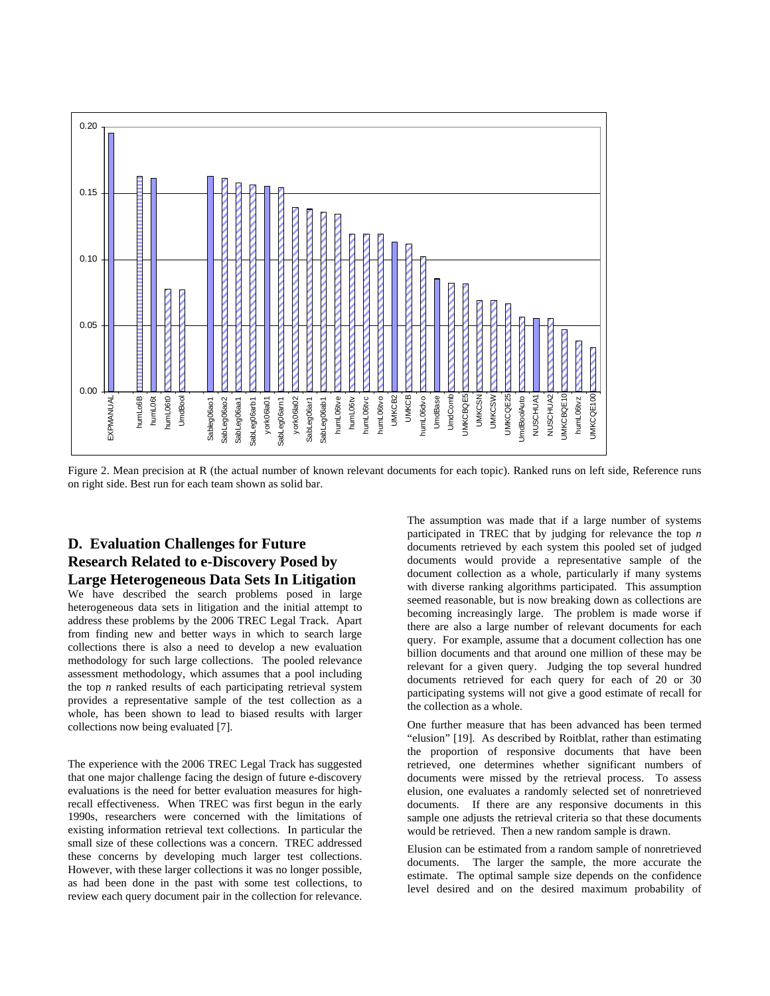

Figure 2. Mean precision at R (the actual number of known relevant documents for each topic). Ranked runs on left side, Reference runs on right side. Best run for each team shown as solid bar.

# **D. Evaluation Challenges for Future Research Related to e-Discovery Posed by Large Heterogeneous Data Sets In Litigation**

We have described the search problems posed in large heterogeneous data sets in litigation and the initial attempt to address these problems by the 2006 TREC Legal Track. Apart from finding new and better ways in which to search large collections there is also a need to develop a new evaluation methodology for such large collections. The pooled relevance assessment methodology, which assumes that a pool including the top *n* ranked results of each participating retrieval system provides a representative sample of the test collection as a whole, has been shown to lead to biased results with larger collections now being evaluated [7].

The experience with the 2006 TREC Legal Track has suggested that one major challenge facing the design of future e-discovery evaluations is the need for better evaluation measures for highrecall effectiveness. When TREC was first begun in the early 1990s, researchers were concerned with the limitations of existing information retrieval text collections. In particular the small size of these collections was a concern. TREC addressed these concerns by developing much larger test collections. However, with these larger collections it was no longer possible, as had been done in the past with some test collections, to review each query document pair in the collection for relevance.

The assumption was made that if a large number of systems participated in TREC that by judging for relevance the top *n*  documents retrieved by each system this pooled set of judged documents would provide a representative sample of the document collection as a whole, particularly if many systems with diverse ranking algorithms participated. This assumption seemed reasonable, but is now breaking down as collections are becoming increasingly large. The problem is made worse if there are also a large number of relevant documents for each query. For example, assume that a document collection has one billion documents and that around one million of these may be relevant for a given query. Judging the top several hundred documents retrieved for each query for each of 20 or 30 participating systems will not give a good estimate of recall for the collection as a whole.

One further measure that has been advanced has been termed "elusion" [19]. As described by Roitblat, rather than estimating the proportion of responsive documents that have been retrieved, one determines whether significant numbers of documents were missed by the retrieval process. To assess elusion, one evaluates a randomly selected set of nonretrieved documents. If there are any responsive documents in this sample one adjusts the retrieval criteria so that these documents would be retrieved. Then a new random sample is drawn.

Elusion can be estimated from a random sample of nonretrieved documents. The larger the sample, the more accurate the estimate. The optimal sample size depends on the confidence level desired and on the desired maximum probability of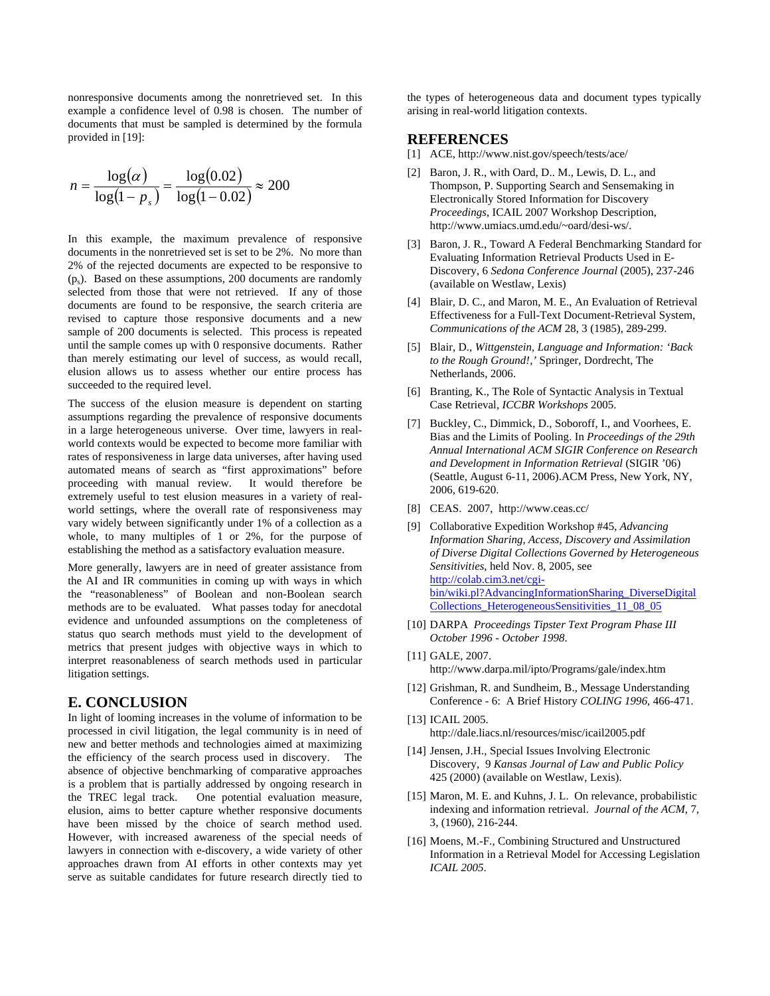nonresponsive documents among the nonretrieved set. In this example a confidence level of 0.98 is chosen. The number of documents that must be sampled is determined by the formula provided in [19]:

$$
n = \frac{\log(\alpha)}{\log(1 - p_s)} = \frac{\log(0.02)}{\log(1 - 0.02)} \approx 200
$$

In this example, the maximum prevalence of responsive documents in the nonretrieved set is set to be 2%. No more than 2% of the rejected documents are expected to be responsive to  $(p_s)$ . Based on these assumptions, 200 documents are randomly selected from those that were not retrieved. If any of those documents are found to be responsive, the search criteria are revised to capture those responsive documents and a new sample of 200 documents is selected. This process is repeated until the sample comes up with 0 responsive documents. Rather than merely estimating our level of success, as would recall, elusion allows us to assess whether our entire process has succeeded to the required level.

The success of the elusion measure is dependent on starting assumptions regarding the prevalence of responsive documents in a large heterogeneous universe. Over time, lawyers in realworld contexts would be expected to become more familiar with rates of responsiveness in large data universes, after having used automated means of search as "first approximations" before proceeding with manual review. It would therefore be extremely useful to test elusion measures in a variety of realworld settings, where the overall rate of responsiveness may vary widely between significantly under 1% of a collection as a whole, to many multiples of 1 or 2%, for the purpose of establishing the method as a satisfactory evaluation measure.

More generally, lawyers are in need of greater assistance from the AI and IR communities in coming up with ways in which the "reasonableness" of Boolean and non-Boolean search methods are to be evaluated. What passes today for anecdotal evidence and unfounded assumptions on the completeness of status quo search methods must yield to the development of metrics that present judges with objective ways in which to interpret reasonableness of search methods used in particular litigation settings.

### **E. CONCLUSION**

In light of looming increases in the volume of information to be processed in civil litigation, the legal community is in need of new and better methods and technologies aimed at maximizing the efficiency of the search process used in discovery. The absence of objective benchmarking of comparative approaches is a problem that is partially addressed by ongoing research in the TREC legal track. One potential evaluation measure, elusion, aims to better capture whether responsive documents have been missed by the choice of search method used. However, with increased awareness of the special needs of lawyers in connection with e-discovery, a wide variety of other approaches drawn from AI efforts in other contexts may yet serve as suitable candidates for future research directly tied to the types of heterogeneous data and document types typically arising in real-world litigation contexts.

## **REFERENCES**

- [1] ACE, http://www.nist.gov/speech/tests/ace/
- [2] Baron, J. R., with Oard, D.. M., Lewis, D. L., and Thompson, P. Supporting Search and Sensemaking in Electronically Stored Information for Discovery *Proceedings*, ICAIL 2007 Workshop Description, http://www.umiacs.umd.edu/~oard/desi-ws/.
- [3] Baron, J. R., Toward A Federal Benchmarking Standard for Evaluating Information Retrieval Products Used in E-Discovery, 6 *Sedona Conference Journal* (2005), 237-246 (available on Westlaw, Lexis)
- [4] Blair, D. C., and Maron, M. E., An Evaluation of Retrieval Effectiveness for a Full-Text Document-Retrieval System, *Communications of the ACM* 28, 3 (1985), 289-299.
- [5] Blair, D., *Wittgenstein, Language and Information: 'Back to the Rough Ground!,'* Springer, Dordrecht, The Netherlands, 2006.
- [6] Branting, K., The Role of Syntactic Analysis in Textual Case Retrieval, *ICCBR Workshops* 2005.
- [7] Buckley, C., Dimmick, D., Soboroff, I., and Voorhees, E. Bias and the Limits of Pooling. In *Proceedings of the 29th Annual International ACM SIGIR Conference on Research and Development in Information Retrieval* (SIGIR '06) (Seattle, August 6-11, 2006).ACM Press, New York, NY, 2006, 619-620.
- [8] CEAS. 2007, http://www.ceas.cc/
- [9] Collaborative Expedition Workshop #45, *Advancing Information Sharing, Access, Discovery and Assimilation of Diverse Digital Collections Governed by Heterogeneous Sensitivities*, held Nov. 8, 2005, see [http://colab.cim3.net/cgi](http://colab.cim3.net/cgi-bin/wiki.pl?AdvancingInformationSharing_DiverseDigitalCollections_HeterogeneousSensitivities_11_08_05)[bin/wiki.pl?AdvancingInformationSharing\\_DiverseDigital](http://colab.cim3.net/cgi-bin/wiki.pl?AdvancingInformationSharing_DiverseDigitalCollections_HeterogeneousSensitivities_11_08_05) [Collections\\_HeterogeneousSensitivities\\_11\\_08\\_05](http://colab.cim3.net/cgi-bin/wiki.pl?AdvancingInformationSharing_DiverseDigitalCollections_HeterogeneousSensitivities_11_08_05)
- [10] DARPA *Proceedings Tipster Text Program Phase III October 1996 - October 1998*.
- [11] GALE, 2007. http://www.darpa.mil/ipto/Programs/gale/index.htm
- [12] Grishman, R. and Sundheim, B., Message Understanding Conference - 6: A Brief History *COLING 1996*, 466-471.
- [13] ICAIL 2005. http://dale.liacs.nl/resources/misc/icail2005.pdf
- [14] Jensen, J.H., Special Issues Involving Electronic Discovery*,* 9 *Kansas Journal of Law and Public Policy*  425 (2000) (available on Westlaw, Lexis).
- [15] Maron, M. E. and Kuhns, J. L. On relevance, probabilistic indexing and information retrieval. *Journal of the ACM*, 7, 3, (1960), 216-244.
- [16] Moens, M.-F., Combining Structured and Unstructured Information in a Retrieval Model for Accessing Legislation *ICAIL 2005*.